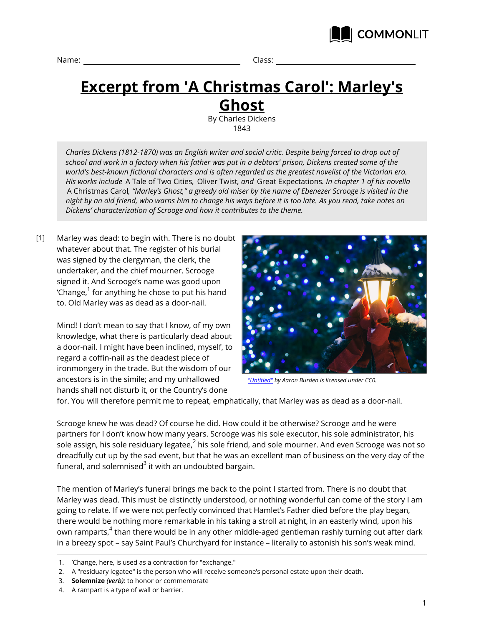



## **Excerpt from 'A Christmas Carol': Marley's Ghost**

By Charles Dickens 1843

*Charles Dickens (1812-1870) was an English writer and social critic. Despite being forced to drop out of school and work in a factory when his father was put in a debtors' prison, Dickens created some of the world's best-known fictional characters and is often regarded as the greatest novelist of the Victorian era. His works include* A Tale of Two Cities*,* Oliver Twist*, and* Great Expectations*. In chapter 1 of his novella* A Christmas Carol*, "Marley's Ghost," a greedy old miser by the name of Ebenezer Scrooge is visited in the night by an old friend, who warns him to change his ways before it is too late. As you read, take notes on Dickens' characterization of Scrooge and how it contributes to the theme.*

Marley was dead: to begin with. There is no doubt whatever about that. The register of his burial was signed by the clergyman, the clerk, the undertaker, and the chief mourner. Scrooge signed it. And Scrooge's name was good upon 'Change, $^{\rm 1}$  for anything he chose to put his hand to. Old Marley was as dead as a door-nail. [1]

> Mind! I don't mean to say that I know, of my own knowledge, what there is particularly dead about a door-nail. I might have been inclined, myself, to regard a coffin-nail as the deadest piece of ironmongery in the trade. But the wisdom of our ancestors is in the simile; and my unhallowed hands shall not disturb it, or the Country's done



*["Untitled"](https://unsplash.com/search/christmas?photo=Mu_9w7l1koI) by Aaron Burden is licensed under CC0.*

for. You will therefore permit me to repeat, emphatically, that Marley was as dead as a door-nail.

Scrooge knew he was dead? Of course he did. How could it be otherwise? Scrooge and he were partners for I don't know how many years. Scrooge was his sole executor, his sole administrator, his sole assign, his sole residuary legatee, $^2$  his sole friend, and sole mourner. And even Scrooge was not so dreadfully cut up by the sad event, but that he was an excellent man of business on the very day of the funeral, and solemnised $^3$  it with an undoubted bargain.

The mention of Marley's funeral brings me back to the point I started from. There is no doubt that Marley was dead. This must be distinctly understood, or nothing wonderful can come of the story I am going to relate. If we were not perfectly convinced that Hamlet's Father died before the play began, there would be nothing more remarkable in his taking a stroll at night, in an easterly wind, upon his own ramparts,<sup>4</sup> than there would be in any other middle-aged gentleman rashly turning out after dark in a breezy spot – say Saint Paul's Churchyard for instance – literally to astonish his son's weak mind.

- 3. **Solemnize** *(verb):* to honor or commemorate
- 4. A rampart is a type of wall or barrier.

<sup>1.</sup> 'Change, here, is used as a contraction for "exchange."

<sup>2.</sup> A "residuary legatee" is the person who will receive someone's personal estate upon their death.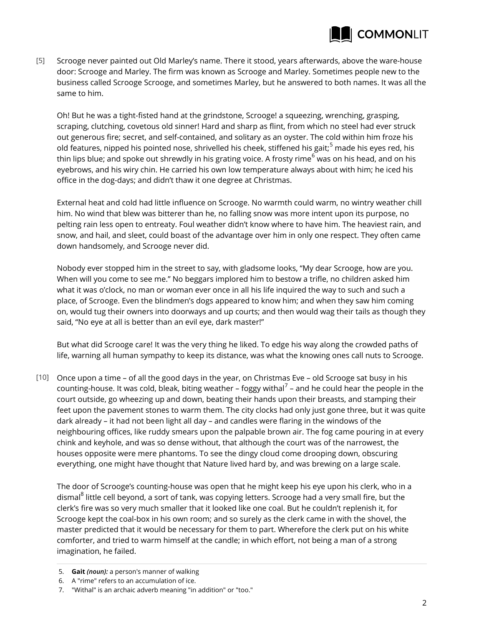

Scrooge never painted out Old Marley's name. There it stood, years afterwards, above the ware-house door: Scrooge and Marley. The firm was known as Scrooge and Marley. Sometimes people new to the business called Scrooge Scrooge, and sometimes Marley, but he answered to both names. It was all the same to him. [5]

Oh! But he was a tight-fisted hand at the grindstone, Scrooge! a squeezing, wrenching, grasping, scraping, clutching, covetous old sinner! Hard and sharp as flint, from which no steel had ever struck out generous fire; secret, and self-contained, and solitary as an oyster. The cold within him froze his old features, nipped his pointed nose, shrivelled his cheek, stiffened his gait;<sup>5</sup> made his eyes red, his thin lips blue; and spoke out shrewdly in his grating voice. A frosty rime<sup>6</sup> was on his head, and on his eyebrows, and his wiry chin. He carried his own low temperature always about with him; he iced his office in the dog-days; and didn't thaw it one degree at Christmas.

External heat and cold had little influence on Scrooge. No warmth could warm, no wintry weather chill him. No wind that blew was bitterer than he, no falling snow was more intent upon its purpose, no pelting rain less open to entreaty. Foul weather didn't know where to have him. The heaviest rain, and snow, and hail, and sleet, could boast of the advantage over him in only one respect. They often came down handsomely, and Scrooge never did.

Nobody ever stopped him in the street to say, with gladsome looks, "My dear Scrooge, how are you. When will you come to see me." No beggars implored him to bestow a trifle, no children asked him what it was o'clock, no man or woman ever once in all his life inquired the way to such and such a place, of Scrooge. Even the blindmen's dogs appeared to know him; and when they saw him coming on, would tug their owners into doorways and up courts; and then would wag their tails as though they said, "No eye at all is better than an evil eye, dark master!"

But what did Scrooge care! It was the very thing he liked. To edge his way along the crowded paths of life, warning all human sympathy to keep its distance, was what the knowing ones call nuts to Scrooge.

[10]  $\,$  Once upon a time – of all the good days in the year, on Christmas Eve – old Scrooge sat busy in his counting-house. It was cold, bleak, biting weather – foggy withal $^7$  – and he could hear the people in the court outside, go wheezing up and down, beating their hands upon their breasts, and stamping their feet upon the pavement stones to warm them. The city clocks had only just gone three, but it was quite dark already – it had not been light all day – and candles were flaring in the windows of the neighbouring offices, like ruddy smears upon the palpable brown air. The fog came pouring in at every chink and keyhole, and was so dense without, that although the court was of the narrowest, the houses opposite were mere phantoms. To see the dingy cloud come drooping down, obscuring everything, one might have thought that Nature lived hard by, and was brewing on a large scale.

The door of Scrooge's counting-house was open that he might keep his eye upon his clerk, who in a dismal<sup>8</sup> little cell beyond, a sort of tank, was copying letters. Scrooge had a very small fire, but the clerk's fire was so very much smaller that it looked like one coal. But he couldn't replenish it, for Scrooge kept the coal-box in his own room; and so surely as the clerk came in with the shovel, the master predicted that it would be necessary for them to part. Wherefore the clerk put on his white comforter, and tried to warm himself at the candle; in which effort, not being a man of a strong imagination, he failed.

- 5. **Gait** *(noun):* a person's manner of walking
- 6. A "rime" refers to an accumulation of ice.
- 7. "Withal" is an archaic adverb meaning "in addition" or "too."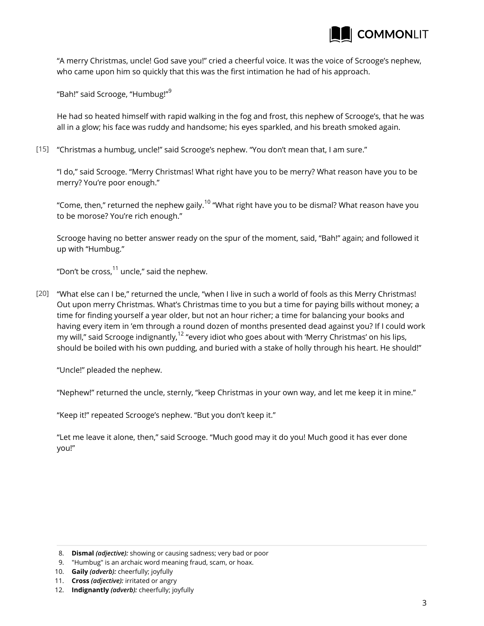

"A merry Christmas, uncle! God save you!" cried a cheerful voice. It was the voice of Scrooge's nephew, who came upon him so quickly that this was the first intimation he had of his approach.

"Bah!" said Scrooge, "Humbug!"<sup>9</sup>

He had so heated himself with rapid walking in the fog and frost, this nephew of Scrooge's, that he was all in a glow; his face was ruddy and handsome; his eyes sparkled, and his breath smoked again.

"Christmas a humbug, uncle!" said Scrooge's nephew. "You don't mean that, I am sure." [15]

"I do," said Scrooge. "Merry Christmas! What right have you to be merry? What reason have you to be merry? You're poor enough."

"Come, then," returned the nephew gaily.<sup>10</sup> "What right have you to be dismal? What reason have you to be morose? You're rich enough."

Scrooge having no better answer ready on the spur of the moment, said, "Bah!" again; and followed it up with "Humbug."

"Don't be cross, $^{11}$  uncle," said the nephew.

"What else can I be," returned the uncle, "when I live in such a world of fools as this Merry Christmas! [20] Out upon merry Christmas. What's Christmas time to you but a time for paying bills without money; a time for finding yourself a year older, but not an hour richer; a time for balancing your books and having every item in 'em through a round dozen of months presented dead against you? If I could work my will," said Scrooge indignantly,<sup>12</sup> "every idiot who goes about with 'Merry Christmas' on his lips, should be boiled with his own pudding, and buried with a stake of holly through his heart. He should!"

"Uncle!" pleaded the nephew.

"Nephew!" returned the uncle, sternly, "keep Christmas in your own way, and let me keep it in mine."

"Keep it!" repeated Scrooge's nephew. "But you don't keep it."

"Let me leave it alone, then," said Scrooge. "Much good may it do you! Much good it has ever done you!"

<sup>8.</sup> **Dismal** *(adjective):* showing or causing sadness; very bad or poor

<sup>9.</sup> "Humbug" is an archaic word meaning fraud, scam, or hoax.

<sup>10.</sup> **Gaily** *(adverb):* cheerfully; joyfully

<sup>11.</sup> **Cross** *(adjective):* irritated or angry

<sup>12.</sup> **Indignantly** *(adverb):* cheerfully; joyfully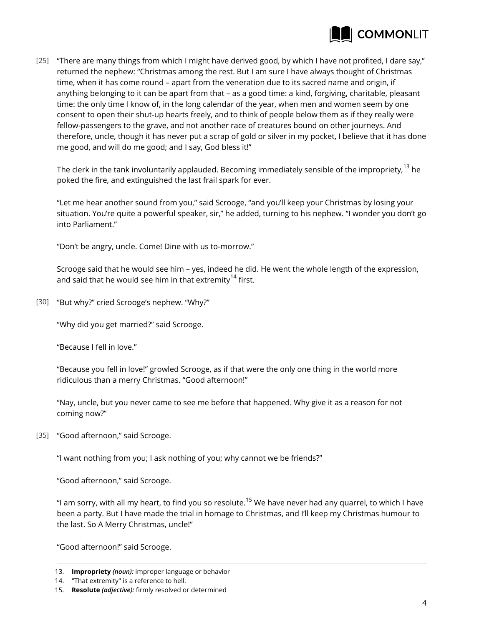

"There are many things from which I might have derived good, by which I have not profited, I dare say," [25] returned the nephew: "Christmas among the rest. But I am sure I have always thought of Christmas time, when it has come round – apart from the veneration due to its sacred name and origin, if anything belonging to it can be apart from that – as a good time: a kind, forgiving, charitable, pleasant time: the only time I know of, in the long calendar of the year, when men and women seem by one consent to open their shut-up hearts freely, and to think of people below them as if they really were fellow-passengers to the grave, and not another race of creatures bound on other journeys. And therefore, uncle, though it has never put a scrap of gold or silver in my pocket, I believe that it has done me good, and will do me good; and I say, God bless it!"

The clerk in the tank involuntarily applauded. Becoming immediately sensible of the impropriety,<sup>13</sup> he poked the fire, and extinguished the last frail spark for ever.

"Let me hear another sound from you," said Scrooge, "and you'll keep your Christmas by losing your situation. You're quite a powerful speaker, sir," he added, turning to his nephew. "I wonder you don't go into Parliament."

"Don't be angry, uncle. Come! Dine with us to-morrow."

Scrooge said that he would see him – yes, indeed he did. He went the whole length of the expression, and said that he would see him in that extremity<sup>14</sup> first.

"But why?" cried Scrooge's nephew. "Why?" [30]

"Why did you get married?" said Scrooge.

"Because I fell in love."

"Because you fell in love!" growled Scrooge, as if that were the only one thing in the world more ridiculous than a merry Christmas. "Good afternoon!"

"Nay, uncle, but you never came to see me before that happened. Why give it as a reason for not coming now?"

[35] "Good afternoon," said Scrooge.

"I want nothing from you; I ask nothing of you; why cannot we be friends?"

"Good afternoon," said Scrooge.

"I am sorry, with all my heart, to find you so resolute.<sup>15</sup> We have never had any quarrel, to which I have been a party. But I have made the trial in homage to Christmas, and I'll keep my Christmas humour to the last. So A Merry Christmas, uncle!"

"Good afternoon!" said Scrooge.

<sup>13.</sup> **Impropriety** *(noun):* improper language or behavior

<sup>14.</sup> "That extremity" is a reference to hell.

<sup>15.</sup> **Resolute** *(adjective):* firmly resolved or determined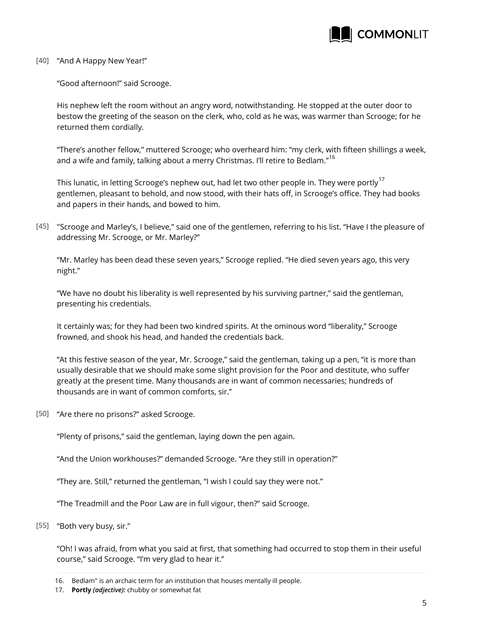

## [40] "And A Happy New Year!"

"Good afternoon!" said Scrooge.

His nephew left the room without an angry word, notwithstanding. He stopped at the outer door to bestow the greeting of the season on the clerk, who, cold as he was, was warmer than Scrooge; for he returned them cordially.

"There's another fellow," muttered Scrooge; who overheard him: "my clerk, with fifteen shillings a week, and a wife and family, talking about a merry Christmas. I'll retire to Bedlam."<sup>16</sup>

This lunatic, in letting Scrooge's nephew out, had let two other people in. They were portly<sup>17</sup> gentlemen, pleasant to behold, and now stood, with their hats off, in Scrooge's office. They had books and papers in their hands, and bowed to him.

"Scrooge and Marley's, I believe," said one of the gentlemen, referring to his list. "Have I the pleasure of [45] addressing Mr. Scrooge, or Mr. Marley?"

"Mr. Marley has been dead these seven years," Scrooge replied. "He died seven years ago, this very night."

"We have no doubt his liberality is well represented by his surviving partner," said the gentleman, presenting his credentials.

It certainly was; for they had been two kindred spirits. At the ominous word "liberality," Scrooge frowned, and shook his head, and handed the credentials back.

"At this festive season of the year, Mr. Scrooge," said the gentleman, taking up a pen, "it is more than usually desirable that we should make some slight provision for the Poor and destitute, who suffer greatly at the present time. Many thousands are in want of common necessaries; hundreds of thousands are in want of common comforts, sir."

[50] "Are there no prisons?" asked Scrooge.

"Plenty of prisons," said the gentleman, laying down the pen again.

"And the Union workhouses?" demanded Scrooge. "Are they still in operation?"

"They are. Still," returned the gentleman, "I wish I could say they were not."

"The Treadmill and the Poor Law are in full vigour, then?" said Scrooge.

"Both very busy, sir." [55]

"Oh! I was afraid, from what you said at first, that something had occurred to stop them in their useful course," said Scrooge. "I'm very glad to hear it."

<sup>16.</sup> Bedlam" is an archaic term for an institution that houses mentally ill people.

<sup>17.</sup> **Portly** *(adjective):* chubby or somewhat fat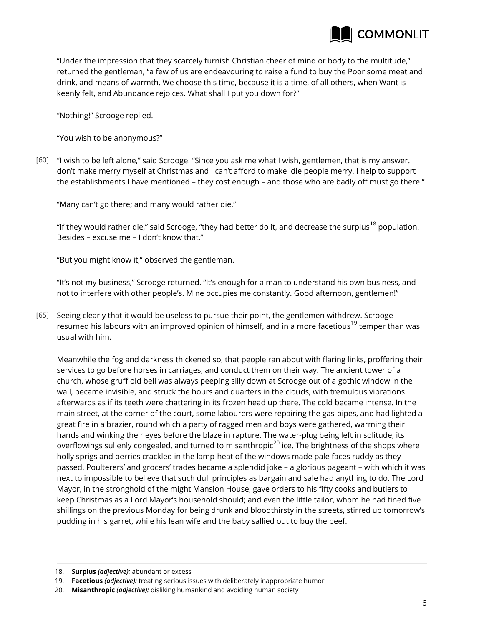

"Under the impression that they scarcely furnish Christian cheer of mind or body to the multitude," returned the gentleman, "a few of us are endeavouring to raise a fund to buy the Poor some meat and drink, and means of warmth. We choose this time, because it is a time, of all others, when Want is keenly felt, and Abundance rejoices. What shall I put you down for?"

"Nothing!" Scrooge replied.

"You wish to be anonymous?"

[60] "I wish to be left alone," said Scrooge. "Since you ask me what I wish, gentlemen, that is my answer. I don't make merry myself at Christmas and I can't afford to make idle people merry. I help to support the establishments I have mentioned – they cost enough – and those who are badly off must go there."

"Many can't go there; and many would rather die."

"If they would rather die," said Scrooge, "they had better do it, and decrease the surplus<sup>18</sup> population. Besides – excuse me – I don't know that."

"But you might know it," observed the gentleman.

"It's not my business," Scrooge returned. "It's enough for a man to understand his own business, and not to interfere with other people's. Mine occupies me constantly. Good afternoon, gentlemen!"

[65] Seeing clearly that it would be useless to pursue their point, the gentlemen withdrew. Scrooge resumed his labours with an improved opinion of himself, and in a more facetious<sup>19</sup> temper than was usual with him.

Meanwhile the fog and darkness thickened so, that people ran about with flaring links, proffering their services to go before horses in carriages, and conduct them on their way. The ancient tower of a church, whose gruff old bell was always peeping slily down at Scrooge out of a gothic window in the wall, became invisible, and struck the hours and quarters in the clouds, with tremulous vibrations afterwards as if its teeth were chattering in its frozen head up there. The cold became intense. In the main street, at the corner of the court, some labourers were repairing the gas-pipes, and had lighted a great fire in a brazier, round which a party of ragged men and boys were gathered, warming their hands and winking their eyes before the blaze in rapture. The water-plug being left in solitude, its overflowings sullenly congealed, and turned to misanthropic<sup>20</sup> ice. The brightness of the shops where holly sprigs and berries crackled in the lamp-heat of the windows made pale faces ruddy as they passed. Poulterers' and grocers' trades became a splendid joke – a glorious pageant – with which it was next to impossible to believe that such dull principles as bargain and sale had anything to do. The Lord Mayor, in the stronghold of the might Mansion House, gave orders to his fifty cooks and butlers to keep Christmas as a Lord Mayor's household should; and even the little tailor, whom he had fined five shillings on the previous Monday for being drunk and bloodthirsty in the streets, stirred up tomorrow's pudding in his garret, while his lean wife and the baby sallied out to buy the beef.

<sup>18.</sup> **Surplus** *(adjective):* abundant or excess

<sup>19.</sup> **Facetious** *(adjective):* treating serious issues with deliberately inappropriate humor

<sup>20.</sup> **Misanthropic** *(adjective):* disliking humankind and avoiding human society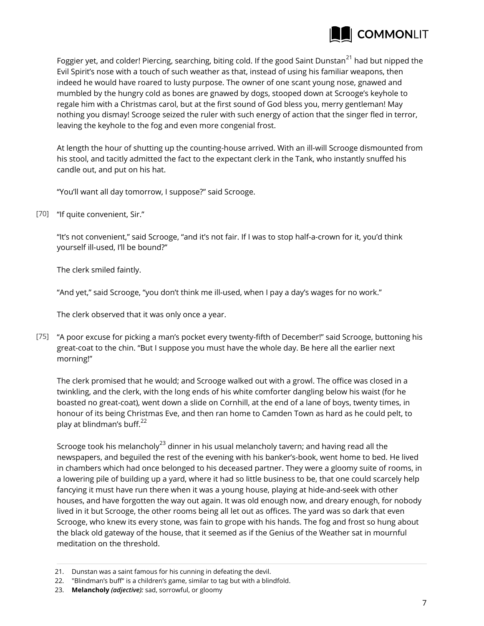

Foggier yet, and colder! Piercing, searching, biting cold. If the good Saint Dunstan<sup>21</sup> had but nipped the Evil Spirit's nose with a touch of such weather as that, instead of using his familiar weapons, then indeed he would have roared to lusty purpose. The owner of one scant young nose, gnawed and mumbled by the hungry cold as bones are gnawed by dogs, stooped down at Scrooge's keyhole to regale him with a Christmas carol, but at the first sound of God bless you, merry gentleman! May nothing you dismay! Scrooge seized the ruler with such energy of action that the singer fled in terror, leaving the keyhole to the fog and even more congenial frost.

At length the hour of shutting up the counting-house arrived. With an ill-will Scrooge dismounted from his stool, and tacitly admitted the fact to the expectant clerk in the Tank, who instantly snuffed his candle out, and put on his hat.

"You'll want all day tomorrow, I suppose?" said Scrooge.

[70] "If quite convenient, Sir."

"It's not convenient," said Scrooge, "and it's not fair. If I was to stop half-a-crown for it, you'd think yourself ill-used, I'll be bound?"

The clerk smiled faintly.

"And yet," said Scrooge, "you don't think me ill-used, when I pay a day's wages for no work."

The clerk observed that it was only once a year.

"A poor excuse for picking a man's pocket every twenty-fifth of December!" said Scrooge, buttoning his [75] great-coat to the chin. "But I suppose you must have the whole day. Be here all the earlier next morning!"

The clerk promised that he would; and Scrooge walked out with a growl. The office was closed in a twinkling, and the clerk, with the long ends of his white comforter dangling below his waist (for he boasted no great-coat), went down a slide on Cornhill, at the end of a lane of boys, twenty times, in honour of its being Christmas Eve, and then ran home to Camden Town as hard as he could pelt, to play at blindman's buff. $^{22}$ 

Scrooge took his melancholy<sup>23</sup> dinner in his usual melancholy tavern; and having read all the newspapers, and beguiled the rest of the evening with his banker's-book, went home to bed. He lived in chambers which had once belonged to his deceased partner. They were a gloomy suite of rooms, in a lowering pile of building up a yard, where it had so little business to be, that one could scarcely help fancying it must have run there when it was a young house, playing at hide-and-seek with other houses, and have forgotten the way out again. It was old enough now, and dreary enough, for nobody lived in it but Scrooge, the other rooms being all let out as offices. The yard was so dark that even Scrooge, who knew its every stone, was fain to grope with his hands. The fog and frost so hung about the black old gateway of the house, that it seemed as if the Genius of the Weather sat in mournful meditation on the threshold.

<sup>21.</sup> Dunstan was a saint famous for his cunning in defeating the devil.

<sup>22.</sup> "Blindman's buff" is a children's game, similar to tag but with a blindfold.

<sup>23.</sup> **Melancholy** *(adjective):* sad, sorrowful, or gloomy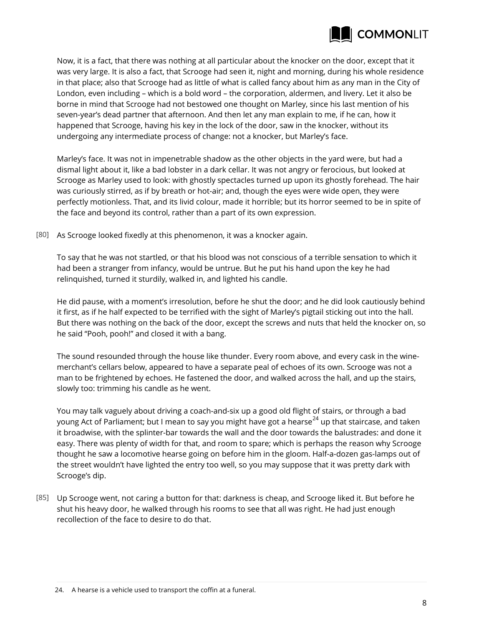

Now, it is a fact, that there was nothing at all particular about the knocker on the door, except that it was very large. It is also a fact, that Scrooge had seen it, night and morning, during his whole residence in that place; also that Scrooge had as little of what is called fancy about him as any man in the City of London, even including – which is a bold word – the corporation, aldermen, and livery. Let it also be borne in mind that Scrooge had not bestowed one thought on Marley, since his last mention of his seven-year's dead partner that afternoon. And then let any man explain to me, if he can, how it happened that Scrooge, having his key in the lock of the door, saw in the knocker, without its undergoing any intermediate process of change: not a knocker, but Marley's face.

Marley's face. It was not in impenetrable shadow as the other objects in the yard were, but had a dismal light about it, like a bad lobster in a dark cellar. It was not angry or ferocious, but looked at Scrooge as Marley used to look: with ghostly spectacles turned up upon its ghostly forehead. The hair was curiously stirred, as if by breath or hot-air; and, though the eyes were wide open, they were perfectly motionless. That, and its livid colour, made it horrible; but its horror seemed to be in spite of the face and beyond its control, rather than a part of its own expression.

As Scrooge looked fixedly at this phenomenon, it was a knocker again. [80]

To say that he was not startled, or that his blood was not conscious of a terrible sensation to which it had been a stranger from infancy, would be untrue. But he put his hand upon the key he had relinquished, turned it sturdily, walked in, and lighted his candle.

He did pause, with a moment's irresolution, before he shut the door; and he did look cautiously behind it first, as if he half expected to be terrified with the sight of Marley's pigtail sticking out into the hall. But there was nothing on the back of the door, except the screws and nuts that held the knocker on, so he said "Pooh, pooh!" and closed it with a bang.

The sound resounded through the house like thunder. Every room above, and every cask in the winemerchant's cellars below, appeared to have a separate peal of echoes of its own. Scrooge was not a man to be frightened by echoes. He fastened the door, and walked across the hall, and up the stairs, slowly too: trimming his candle as he went.

You may talk vaguely about driving a coach-and-six up a good old flight of stairs, or through a bad young Act of Parliament; but I mean to say you might have got a hearse<sup>24</sup> up that staircase, and taken it broadwise, with the splinter-bar towards the wall and the door towards the balustrades: and done it easy. There was plenty of width for that, and room to spare; which is perhaps the reason why Scrooge thought he saw a locomotive hearse going on before him in the gloom. Half-a-dozen gas-lamps out of the street wouldn't have lighted the entry too well, so you may suppose that it was pretty dark with Scrooge's dip.

Up Scrooge went, not caring a button for that: darkness is cheap, and Scrooge liked it. But before he [85] shut his heavy door, he walked through his rooms to see that all was right. He had just enough recollection of the face to desire to do that.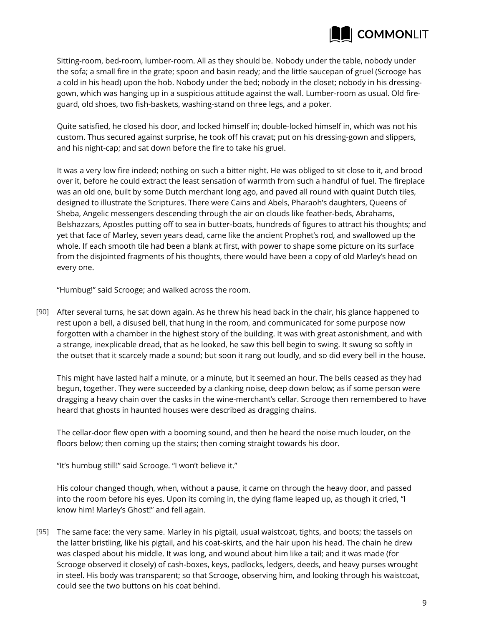

Sitting-room, bed-room, lumber-room. All as they should be. Nobody under the table, nobody under the sofa; a small fire in the grate; spoon and basin ready; and the little saucepan of gruel (Scrooge has a cold in his head) upon the hob. Nobody under the bed; nobody in the closet; nobody in his dressinggown, which was hanging up in a suspicious attitude against the wall. Lumber-room as usual. Old fireguard, old shoes, two fish-baskets, washing-stand on three legs, and a poker.

Quite satisfied, he closed his door, and locked himself in; double-locked himself in, which was not his custom. Thus secured against surprise, he took off his cravat; put on his dressing-gown and slippers, and his night-cap; and sat down before the fire to take his gruel.

It was a very low fire indeed; nothing on such a bitter night. He was obliged to sit close to it, and brood over it, before he could extract the least sensation of warmth from such a handful of fuel. The fireplace was an old one, built by some Dutch merchant long ago, and paved all round with quaint Dutch tiles, designed to illustrate the Scriptures. There were Cains and Abels, Pharaoh's daughters, Queens of Sheba, Angelic messengers descending through the air on clouds like feather-beds, Abrahams, Belshazzars, Apostles putting off to sea in butter-boats, hundreds of figures to attract his thoughts; and yet that face of Marley, seven years dead, came like the ancient Prophet's rod, and swallowed up the whole. If each smooth tile had been a blank at first, with power to shape some picture on its surface from the disjointed fragments of his thoughts, there would have been a copy of old Marley's head on every one.

"Humbug!" said Scrooge; and walked across the room.

After several turns, he sat down again. As he threw his head back in the chair, his glance happened to [90] rest upon a bell, a disused bell, that hung in the room, and communicated for some purpose now forgotten with a chamber in the highest story of the building. It was with great astonishment, and with a strange, inexplicable dread, that as he looked, he saw this bell begin to swing. It swung so softly in the outset that it scarcely made a sound; but soon it rang out loudly, and so did every bell in the house.

This might have lasted half a minute, or a minute, but it seemed an hour. The bells ceased as they had begun, together. They were succeeded by a clanking noise, deep down below; as if some person were dragging a heavy chain over the casks in the wine-merchant's cellar. Scrooge then remembered to have heard that ghosts in haunted houses were described as dragging chains.

The cellar-door flew open with a booming sound, and then he heard the noise much louder, on the floors below; then coming up the stairs; then coming straight towards his door.

"It's humbug still!" said Scrooge. "I won't believe it."

His colour changed though, when, without a pause, it came on through the heavy door, and passed into the room before his eyes. Upon its coming in, the dying flame leaped up, as though it cried, "I know him! Marley's Ghost!" and fell again.

 $[95]$  The same face: the very same. Marley in his pigtail, usual waistcoat, tights, and boots; the tassels on the latter bristling, like his pigtail, and his coat-skirts, and the hair upon his head. The chain he drew was clasped about his middle. It was long, and wound about him like a tail; and it was made (for Scrooge observed it closely) of cash-boxes, keys, padlocks, ledgers, deeds, and heavy purses wrought in steel. His body was transparent; so that Scrooge, observing him, and looking through his waistcoat, could see the two buttons on his coat behind.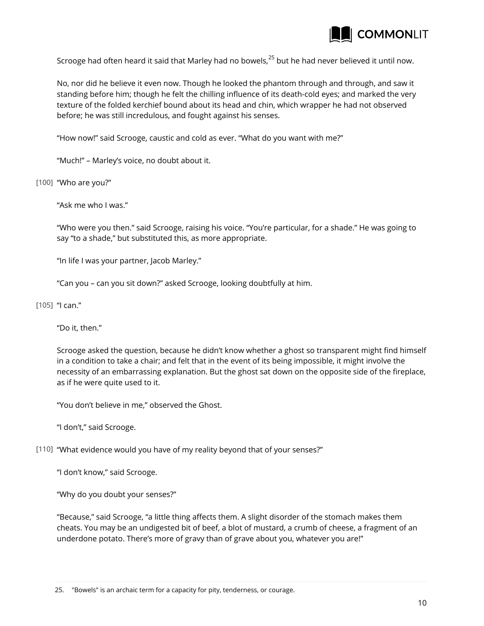

Scrooge had often heard it said that Marley had no bowels,<sup>25</sup> but he had never believed it until now.

No, nor did he believe it even now. Though he looked the phantom through and through, and saw it standing before him; though he felt the chilling influence of its death-cold eyes; and marked the very texture of the folded kerchief bound about its head and chin, which wrapper he had not observed before; he was still incredulous, and fought against his senses.

"How now!" said Scrooge, caustic and cold as ever. "What do you want with me?"

"Much!" – Marley's voice, no doubt about it.

"Who are you?" [100]

"Ask me who I was."

"Who were you then." said Scrooge, raising his voice. "You're particular, for a shade." He was going to say "to a shade," but substituted this, as more appropriate.

"In life I was your partner, Jacob Marley."

"Can you – can you sit down?" asked Scrooge, looking doubtfully at him.

[105] "I can."

"Do it, then."

Scrooge asked the question, because he didn't know whether a ghost so transparent might find himself in a condition to take a chair; and felt that in the event of its being impossible, it might involve the necessity of an embarrassing explanation. But the ghost sat down on the opposite side of the fireplace, as if he were quite used to it.

"You don't believe in me," observed the Ghost.

"I don't," said Scrooge.

"What evidence would you have of my reality beyond that of your senses?" [110]

"I don't know," said Scrooge.

"Why do you doubt your senses?"

"Because," said Scrooge, "a little thing affects them. A slight disorder of the stomach makes them cheats. You may be an undigested bit of beef, a blot of mustard, a crumb of cheese, a fragment of an underdone potato. There's more of gravy than of grave about you, whatever you are!"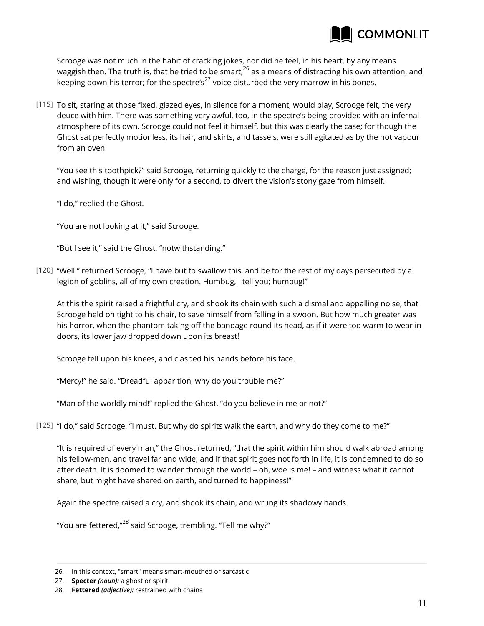

Scrooge was not much in the habit of cracking jokes, nor did he feel, in his heart, by any means waggish then. The truth is, that he tried to be smart, <sup>26</sup> as a means of distracting his own attention, and keeping down his terror; for the spectre's<sup>27</sup> voice disturbed the very marrow in his bones.

[115] To sit, staring at those fixed, glazed eyes, in silence for a moment, would play, Scrooge felt, the very deuce with him. There was something very awful, too, in the spectre's being provided with an infernal atmosphere of its own. Scrooge could not feel it himself, but this was clearly the case; for though the Ghost sat perfectly motionless, its hair, and skirts, and tassels, were still agitated as by the hot vapour from an oven.

"You see this toothpick?" said Scrooge, returning quickly to the charge, for the reason just assigned; and wishing, though it were only for a second, to divert the vision's stony gaze from himself.

"I do," replied the Ghost.

"You are not looking at it," said Scrooge.

"But I see it," said the Ghost, "notwithstanding."

[120] "Well!" returned Scrooge, "I have but to swallow this, and be for the rest of my days persecuted by a legion of goblins, all of my own creation. Humbug, I tell you; humbug!"

At this the spirit raised a frightful cry, and shook its chain with such a dismal and appalling noise, that Scrooge held on tight to his chair, to save himself from falling in a swoon. But how much greater was his horror, when the phantom taking off the bandage round its head, as if it were too warm to wear indoors, its lower jaw dropped down upon its breast!

Scrooge fell upon his knees, and clasped his hands before his face.

"Mercy!" he said. "Dreadful apparition, why do you trouble me?"

"Man of the worldly mind!" replied the Ghost, "do you believe in me or not?"

"I do," said Scrooge. "I must. But why do spirits walk the earth, and why do they come to me?" [125]

"It is required of every man," the Ghost returned, "that the spirit within him should walk abroad among his fellow-men, and travel far and wide; and if that spirit goes not forth in life, it is condemned to do so after death. It is doomed to wander through the world – oh, woe is me! – and witness what it cannot share, but might have shared on earth, and turned to happiness!"

Again the spectre raised a cry, and shook its chain, and wrung its shadowy hands.

"You are fettered,"<sup>28</sup> said Scrooge, trembling. "Tell me why?"

<sup>26.</sup> In this context, "smart" means smart-mouthed or sarcastic

<sup>27.</sup> **Specter** *(noun):* a ghost or spirit

<sup>28.</sup> **Fettered** *(adjective):* restrained with chains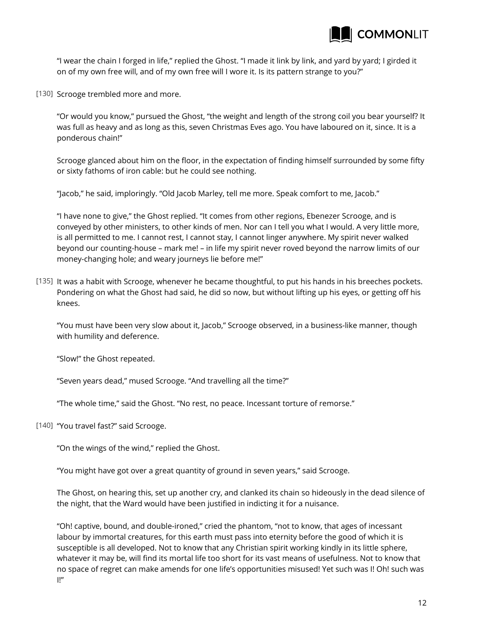

"I wear the chain I forged in life," replied the Ghost. "I made it link by link, and yard by yard; I girded it on of my own free will, and of my own free will I wore it. Is its pattern strange to you?"

[130] Scrooge trembled more and more.

"Or would you know," pursued the Ghost, "the weight and length of the strong coil you bear yourself? It was full as heavy and as long as this, seven Christmas Eves ago. You have laboured on it, since. It is a ponderous chain!"

Scrooge glanced about him on the floor, in the expectation of finding himself surrounded by some fifty or sixty fathoms of iron cable: but he could see nothing.

"Jacob," he said, imploringly. "Old Jacob Marley, tell me more. Speak comfort to me, Jacob."

"I have none to give," the Ghost replied. "It comes from other regions, Ebenezer Scrooge, and is conveyed by other ministers, to other kinds of men. Nor can I tell you what I would. A very little more, is all permitted to me. I cannot rest, I cannot stay, I cannot linger anywhere. My spirit never walked beyond our counting-house – mark me! – in life my spirit never roved beyond the narrow limits of our money-changing hole; and weary journeys lie before me!"

[135] It was a habit with Scrooge, whenever he became thoughtful, to put his hands in his breeches pockets. Pondering on what the Ghost had said, he did so now, but without lifting up his eyes, or getting off his knees.

"You must have been very slow about it, Jacob," Scrooge observed, in a business-like manner, though with humility and deference.

"Slow!" the Ghost repeated.

"Seven years dead," mused Scrooge. "And travelling all the time?"

"The whole time," said the Ghost. "No rest, no peace. Incessant torture of remorse."

[140] "You travel fast?" said Scrooge.

"On the wings of the wind," replied the Ghost.

"You might have got over a great quantity of ground in seven years," said Scrooge.

The Ghost, on hearing this, set up another cry, and clanked its chain so hideously in the dead silence of the night, that the Ward would have been justified in indicting it for a nuisance.

"Oh! captive, bound, and double-ironed," cried the phantom, "not to know, that ages of incessant labour by immortal creatures, for this earth must pass into eternity before the good of which it is susceptible is all developed. Not to know that any Christian spirit working kindly in its little sphere, whatever it may be, will find its mortal life too short for its vast means of usefulness. Not to know that no space of regret can make amends for one life's opportunities misused! Yet such was I! Oh! such was I!"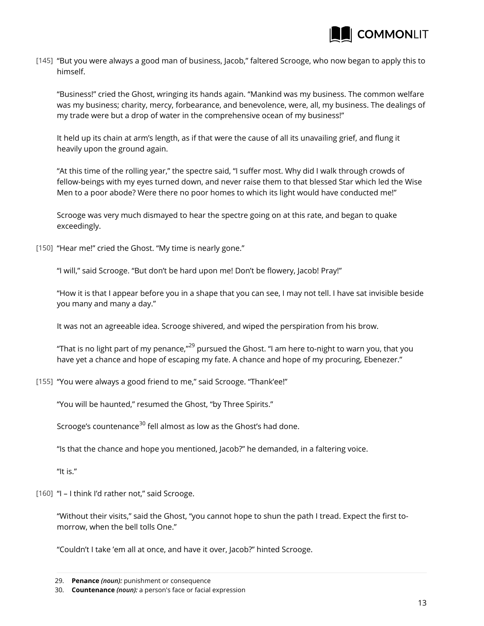

[145] "But you were always a good man of business, Jacob," faltered Scrooge, who now began to apply this to himself.

"Business!" cried the Ghost, wringing its hands again. "Mankind was my business. The common welfare was my business; charity, mercy, forbearance, and benevolence, were, all, my business. The dealings of my trade were but a drop of water in the comprehensive ocean of my business!"

It held up its chain at arm's length, as if that were the cause of all its unavailing grief, and flung it heavily upon the ground again.

"At this time of the rolling year," the spectre said, "I suffer most. Why did I walk through crowds of fellow-beings with my eyes turned down, and never raise them to that blessed Star which led the Wise Men to a poor abode? Were there no poor homes to which its light would have conducted me!"

Scrooge was very much dismayed to hear the spectre going on at this rate, and began to quake exceedingly.

"Hear me!" cried the Ghost. "My time is nearly gone." [150]

"I will," said Scrooge. "But don't be hard upon me! Don't be flowery, Jacob! Pray!"

"How it is that I appear before you in a shape that you can see, I may not tell. I have sat invisible beside you many and many a day."

It was not an agreeable idea. Scrooge shivered, and wiped the perspiration from his brow.

"That is no light part of my penance," $^{29}$  pursued the Ghost. "I am here to-night to warn you, that you have yet a chance and hope of escaping my fate. A chance and hope of my procuring, Ebenezer."

"You were always a good friend to me," said Scrooge. "Thank'ee!" [155]

"You will be haunted," resumed the Ghost, "by Three Spirits."

Scrooge's countenance<sup>30</sup> fell almost as low as the Ghost's had done.

"Is that the chance and hope you mentioned, Jacob?" he demanded, in a faltering voice.

"It is."

[160] "I – I think I'd rather not," said Scrooge.

"Without their visits," said the Ghost, "you cannot hope to shun the path I tread. Expect the first tomorrow, when the bell tolls One."

"Couldn't I take 'em all at once, and have it over, Jacob?" hinted Scrooge.

<sup>29.</sup> **Penance** *(noun):* punishment or consequence

<sup>30.</sup> **Countenance** *(noun):* a person's face or facial expression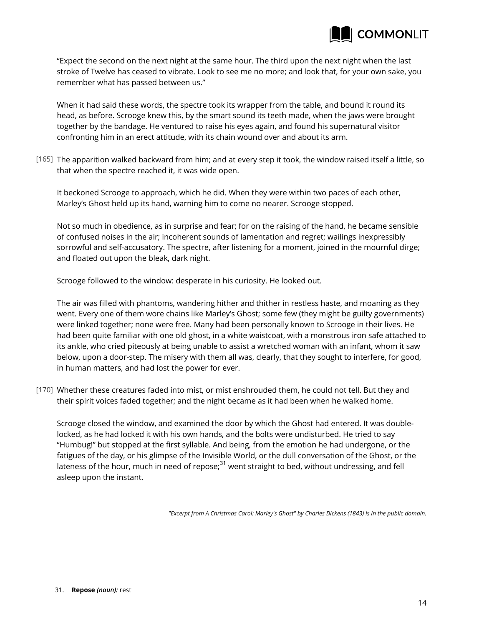

"Expect the second on the next night at the same hour. The third upon the next night when the last stroke of Twelve has ceased to vibrate. Look to see me no more; and look that, for your own sake, you remember what has passed between us."

When it had said these words, the spectre took its wrapper from the table, and bound it round its head, as before. Scrooge knew this, by the smart sound its teeth made, when the jaws were brought together by the bandage. He ventured to raise his eyes again, and found his supernatural visitor confronting him in an erect attitude, with its chain wound over and about its arm.

[165] The apparition walked backward from him; and at every step it took, the window raised itself a little, so that when the spectre reached it, it was wide open.

It beckoned Scrooge to approach, which he did. When they were within two paces of each other, Marley's Ghost held up its hand, warning him to come no nearer. Scrooge stopped.

Not so much in obedience, as in surprise and fear; for on the raising of the hand, he became sensible of confused noises in the air; incoherent sounds of lamentation and regret; wailings inexpressibly sorrowful and self-accusatory. The spectre, after listening for a moment, joined in the mournful dirge; and floated out upon the bleak, dark night.

Scrooge followed to the window: desperate in his curiosity. He looked out.

The air was filled with phantoms, wandering hither and thither in restless haste, and moaning as they went. Every one of them wore chains like Marley's Ghost; some few (they might be guilty governments) were linked together; none were free. Many had been personally known to Scrooge in their lives. He had been quite familiar with one old ghost, in a white waistcoat, with a monstrous iron safe attached to its ankle, who cried piteously at being unable to assist a wretched woman with an infant, whom it saw below, upon a door-step. The misery with them all was, clearly, that they sought to interfere, for good, in human matters, and had lost the power for ever.

Whether these creatures faded into mist, or mist enshrouded them, he could not tell. But they and [170] their spirit voices faded together; and the night became as it had been when he walked home.

Scrooge closed the window, and examined the door by which the Ghost had entered. It was doublelocked, as he had locked it with his own hands, and the bolts were undisturbed. He tried to say "Humbug!" but stopped at the first syllable. And being, from the emotion he had undergone, or the fatigues of the day, or his glimpse of the Invisible World, or the dull conversation of the Ghost, or the lateness of the hour, much in need of repose; $31$  went straight to bed, without undressing, and fell asleep upon the instant.

*"Excerpt from A Christmas Carol: Marley's Ghost" by Charles Dickens (1843) is in the public domain.*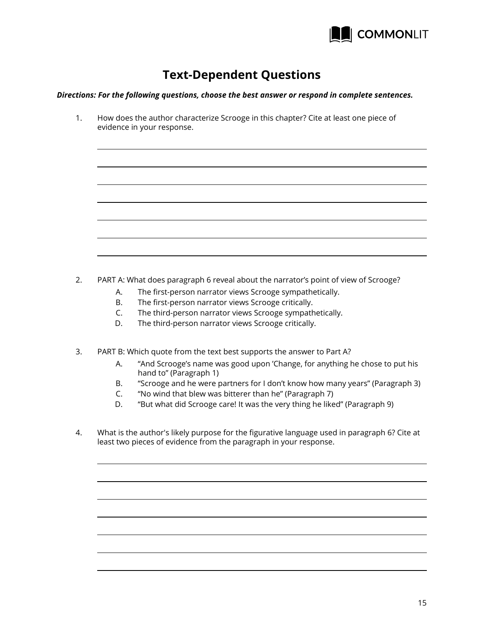

## **Text-Dependent Questions**

*Directions: For the following questions, choose the best answer or respond in complete sentences.*

1. How does the author characterize Scrooge in this chapter? Cite at least one piece of evidence in your response.

- 2. PART A: What does paragraph 6 reveal about the narrator's point of view of Scrooge?
	- A. The first-person narrator views Scrooge sympathetically.
	- B. The first-person narrator views Scrooge critically.
	- C. The third-person narrator views Scrooge sympathetically.
	- D. The third-person narrator views Scrooge critically.
- 3. PART B: Which quote from the text best supports the answer to Part A?
	- A. "And Scrooge's name was good upon 'Change, for anything he chose to put his hand to" (Paragraph 1)
	- B. "Scrooge and he were partners for I don't know how many years" (Paragraph 3)
	- C. "No wind that blew was bitterer than he" (Paragraph 7)
	- D. "But what did Scrooge care! It was the very thing he liked" (Paragraph 9)
- 4. What is the author's likely purpose for the figurative language used in paragraph 6? Cite at least two pieces of evidence from the paragraph in your response.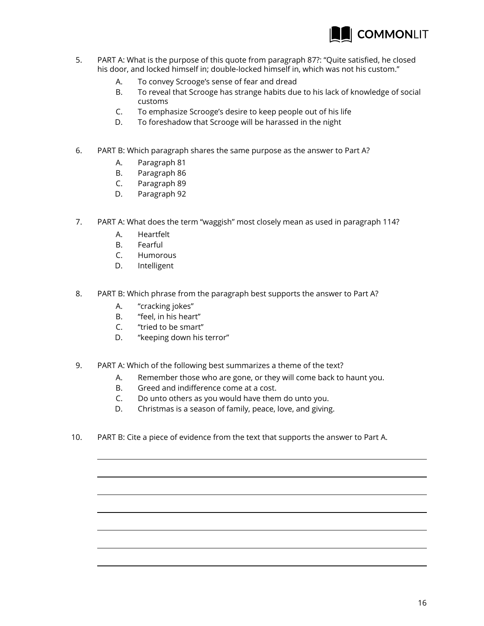

- 5. PART A: What is the purpose of this quote from paragraph 87?: "Quite satisfied, he closed his door, and locked himself in; double-locked himself in, which was not his custom."
	- A. To convey Scrooge's sense of fear and dread
	- B. To reveal that Scrooge has strange habits due to his lack of knowledge of social customs
	- C. To emphasize Scrooge's desire to keep people out of his life
	- D. To foreshadow that Scrooge will be harassed in the night
- 6. PART B: Which paragraph shares the same purpose as the answer to Part A?
	- A. Paragraph 81
	- B. Paragraph 86
	- C. Paragraph 89
	- D. Paragraph 92
- 7. PART A: What does the term "waggish" most closely mean as used in paragraph 114?
	- A. Heartfelt
	- B. Fearful
	- C. Humorous
	- D. Intelligent
- 8. PART B: Which phrase from the paragraph best supports the answer to Part A?
	- A. "cracking jokes"
	- B. "feel, in his heart"
	- C. "tried to be smart"
	- D. "keeping down his terror"
- 9. PART A: Which of the following best summarizes a theme of the text?
	- A. Remember those who are gone, or they will come back to haunt you.
	- B. Greed and indifference come at a cost.
	- C. Do unto others as you would have them do unto you.
	- D. Christmas is a season of family, peace, love, and giving.
- 10. PART B: Cite a piece of evidence from the text that supports the answer to Part A.